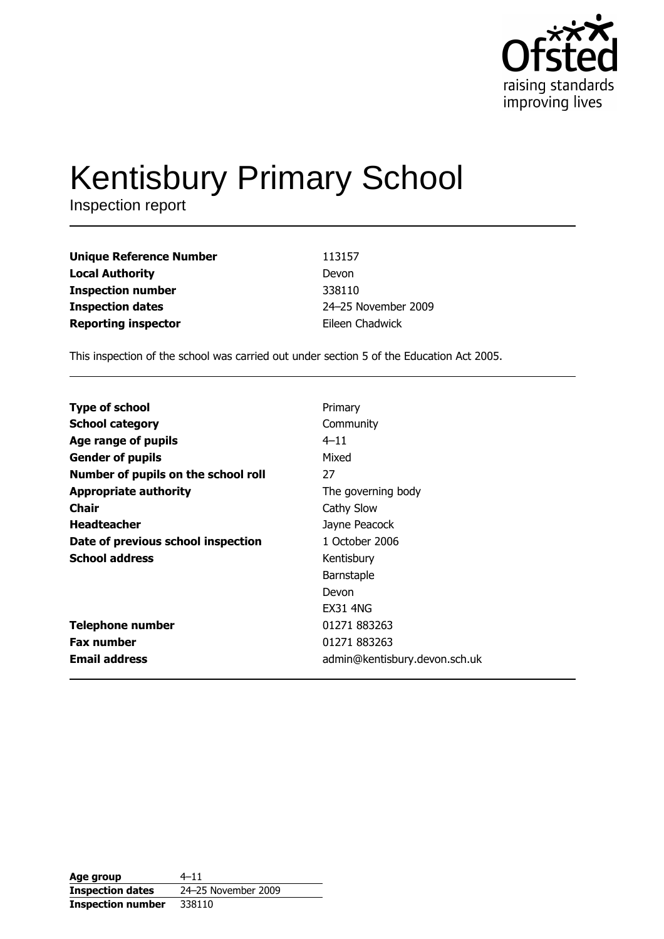

# **Kentisbury Primary School**

Inspection report

| <b>Unique Reference Number</b> | 113157              |
|--------------------------------|---------------------|
| <b>Local Authority</b>         | Devon               |
| <b>Inspection number</b>       | 338110              |
| <b>Inspection dates</b>        | 24-25 November 2009 |
| <b>Reporting inspector</b>     | Eileen Chadwick     |

This inspection of the school was carried out under section 5 of the Education Act 2005.

| Primary                       |
|-------------------------------|
| Community                     |
| $4 - 11$                      |
| Mixed                         |
| 27                            |
| The governing body            |
| Cathy Slow                    |
| Jayne Peacock                 |
| 1 October 2006                |
| Kentisbury                    |
| Barnstaple                    |
| Devon                         |
| <b>EX31 4NG</b>               |
| 01271 883263                  |
| 01271 883263                  |
| admin@kentisbury.devon.sch.uk |
|                               |

| Age group                | $4 - 11$            |
|--------------------------|---------------------|
| <b>Inspection dates</b>  | 24-25 November 2009 |
| <b>Inspection number</b> | 338110              |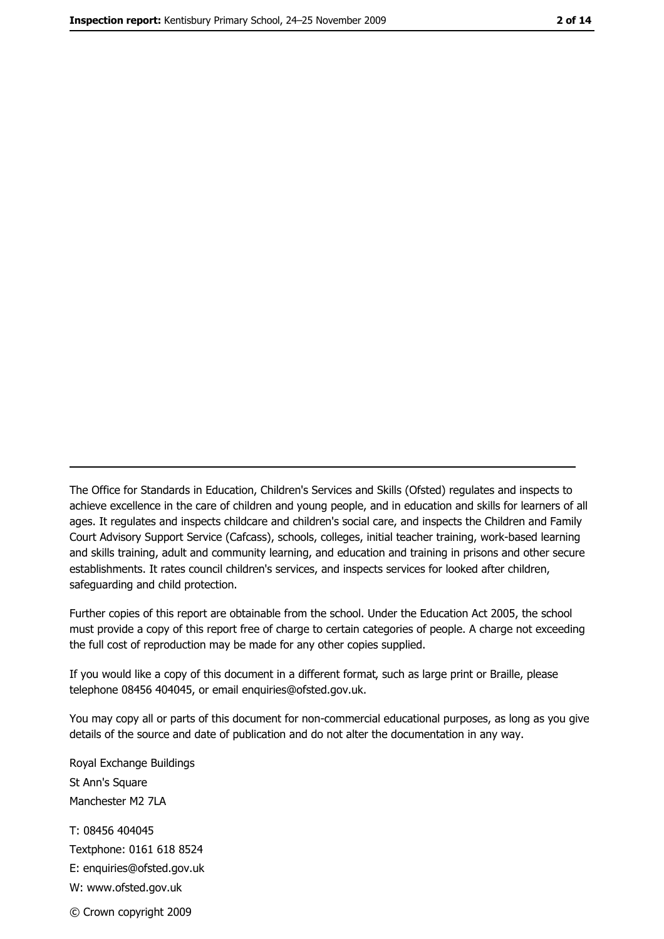The Office for Standards in Education, Children's Services and Skills (Ofsted) regulates and inspects to achieve excellence in the care of children and young people, and in education and skills for learners of all ages. It regulates and inspects childcare and children's social care, and inspects the Children and Family Court Advisory Support Service (Cafcass), schools, colleges, initial teacher training, work-based learning and skills training, adult and community learning, and education and training in prisons and other secure establishments. It rates council children's services, and inspects services for looked after children, safequarding and child protection.

Further copies of this report are obtainable from the school. Under the Education Act 2005, the school must provide a copy of this report free of charge to certain categories of people. A charge not exceeding the full cost of reproduction may be made for any other copies supplied.

If you would like a copy of this document in a different format, such as large print or Braille, please telephone 08456 404045, or email enquiries@ofsted.gov.uk.

You may copy all or parts of this document for non-commercial educational purposes, as long as you give details of the source and date of publication and do not alter the documentation in any way.

Royal Exchange Buildings St Ann's Square Manchester M2 7LA T: 08456 404045 Textphone: 0161 618 8524 E: enquiries@ofsted.gov.uk W: www.ofsted.gov.uk © Crown copyright 2009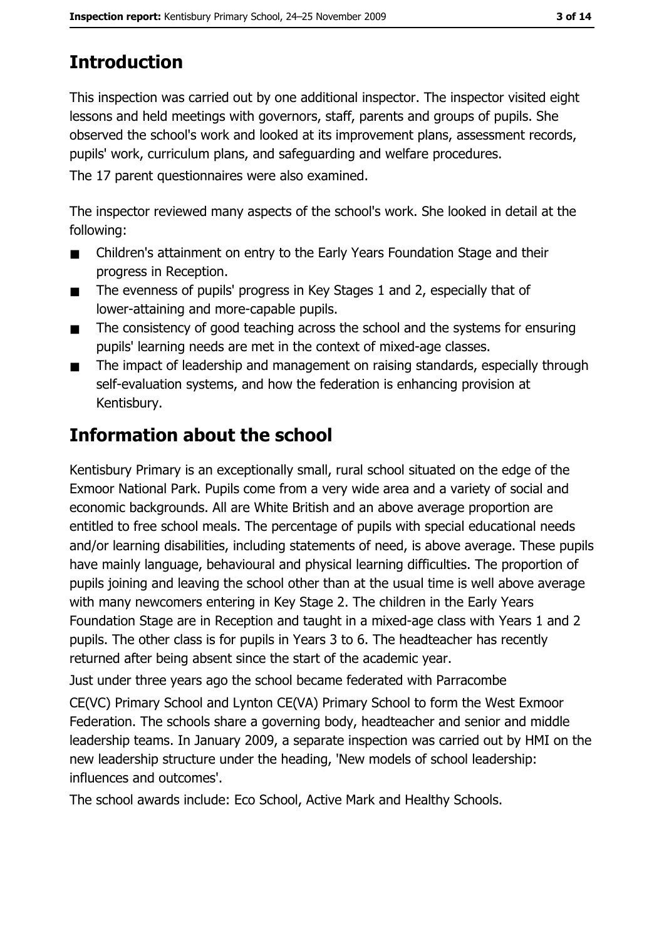# **Introduction**

This inspection was carried out by one additional inspector. The inspector visited eight lessons and held meetings with governors, staff, parents and groups of pupils. She observed the school's work and looked at its improvement plans, assessment records, pupils' work, curriculum plans, and safeguarding and welfare procedures.

The 17 parent questionnaires were also examined.

The inspector reviewed many aspects of the school's work. She looked in detail at the following:

- Children's attainment on entry to the Early Years Foundation Stage and their  $\blacksquare$ progress in Reception.
- The evenness of pupils' progress in Key Stages 1 and 2, especially that of  $\blacksquare$ lower-attaining and more-capable pupils.
- The consistency of good teaching across the school and the systems for ensuring  $\blacksquare$ pupils' learning needs are met in the context of mixed-age classes.
- The impact of leadership and management on raising standards, especially through  $\blacksquare$ self-evaluation systems, and how the federation is enhancing provision at Kentisbury.

# Information about the school

Kentisbury Primary is an exceptionally small, rural school situated on the edge of the Exmoor National Park. Pupils come from a very wide area and a variety of social and economic backgrounds. All are White British and an above average proportion are entitled to free school meals. The percentage of pupils with special educational needs and/or learning disabilities, including statements of need, is above average. These pupils have mainly language, behavioural and physical learning difficulties. The proportion of pupils joining and leaving the school other than at the usual time is well above average with many newcomers entering in Key Stage 2. The children in the Early Years Foundation Stage are in Reception and taught in a mixed-age class with Years 1 and 2 pupils. The other class is for pupils in Years 3 to 6. The headteacher has recently returned after being absent since the start of the academic year.

Just under three years ago the school became federated with Parracombe

CE(VC) Primary School and Lynton CE(VA) Primary School to form the West Exmoor Federation. The schools share a governing body, headteacher and senior and middle leadership teams. In January 2009, a separate inspection was carried out by HMI on the new leadership structure under the heading, 'New models of school leadership: influences and outcomes'.

The school awards include: Eco School, Active Mark and Healthy Schools.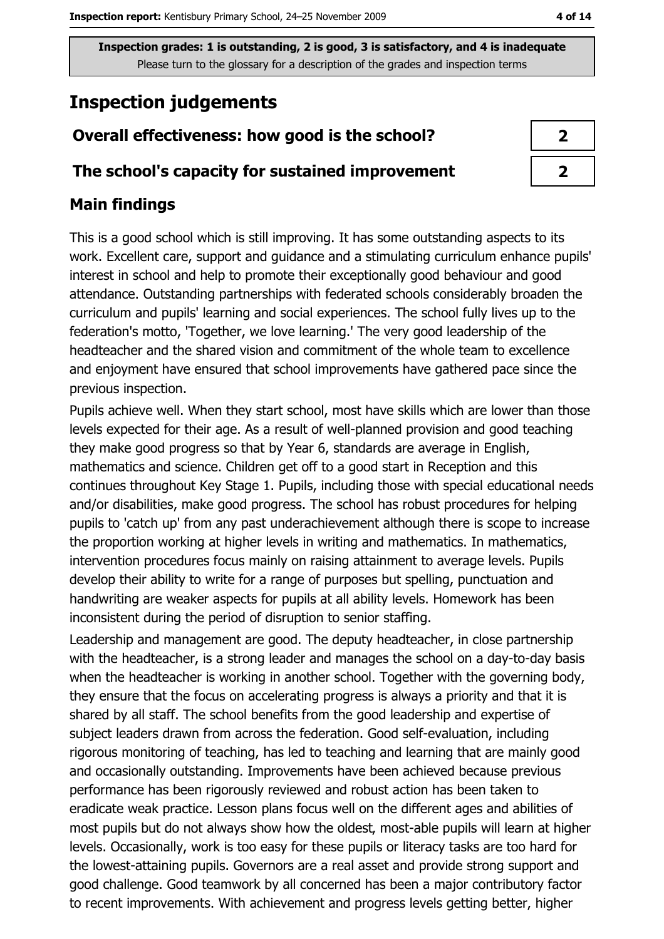## **Inspection judgements**

## Overall effectiveness: how good is the school?

#### The school's capacity for sustained improvement

#### **Main findings**

This is a good school which is still improving. It has some outstanding aspects to its work. Excellent care, support and guidance and a stimulating curriculum enhance pupils' interest in school and help to promote their exceptionally good behaviour and good attendance. Outstanding partnerships with federated schools considerably broaden the curriculum and pupils' learning and social experiences. The school fully lives up to the federation's motto, 'Together, we love learning.' The very good leadership of the headteacher and the shared vision and commitment of the whole team to excellence and enjoyment have ensured that school improvements have gathered pace since the previous inspection.

Pupils achieve well. When they start school, most have skills which are lower than those levels expected for their age. As a result of well-planned provision and good teaching they make good progress so that by Year 6, standards are average in English, mathematics and science. Children get off to a good start in Reception and this continues throughout Key Stage 1. Pupils, including those with special educational needs and/or disabilities, make good progress. The school has robust procedures for helping pupils to 'catch up' from any past underachievement although there is scope to increase the proportion working at higher levels in writing and mathematics. In mathematics, intervention procedures focus mainly on raising attainment to average levels. Pupils develop their ability to write for a range of purposes but spelling, punctuation and handwriting are weaker aspects for pupils at all ability levels. Homework has been inconsistent during the period of disruption to senior staffing.

Leadership and management are good. The deputy headteacher, in close partnership with the headteacher, is a strong leader and manages the school on a day-to-day basis when the headteacher is working in another school. Together with the governing body, they ensure that the focus on accelerating progress is always a priority and that it is shared by all staff. The school benefits from the good leadership and expertise of subject leaders drawn from across the federation. Good self-evaluation, including rigorous monitoring of teaching, has led to teaching and learning that are mainly good and occasionally outstanding. Improvements have been achieved because previous performance has been rigorously reviewed and robust action has been taken to eradicate weak practice. Lesson plans focus well on the different ages and abilities of most pupils but do not always show how the oldest, most-able pupils will learn at higher levels. Occasionally, work is too easy for these pupils or literacy tasks are too hard for the lowest-attaining pupils. Governors are a real asset and provide strong support and good challenge. Good teamwork by all concerned has been a major contributory factor to recent improvements. With achievement and progress levels getting better, higher

| י |
|---|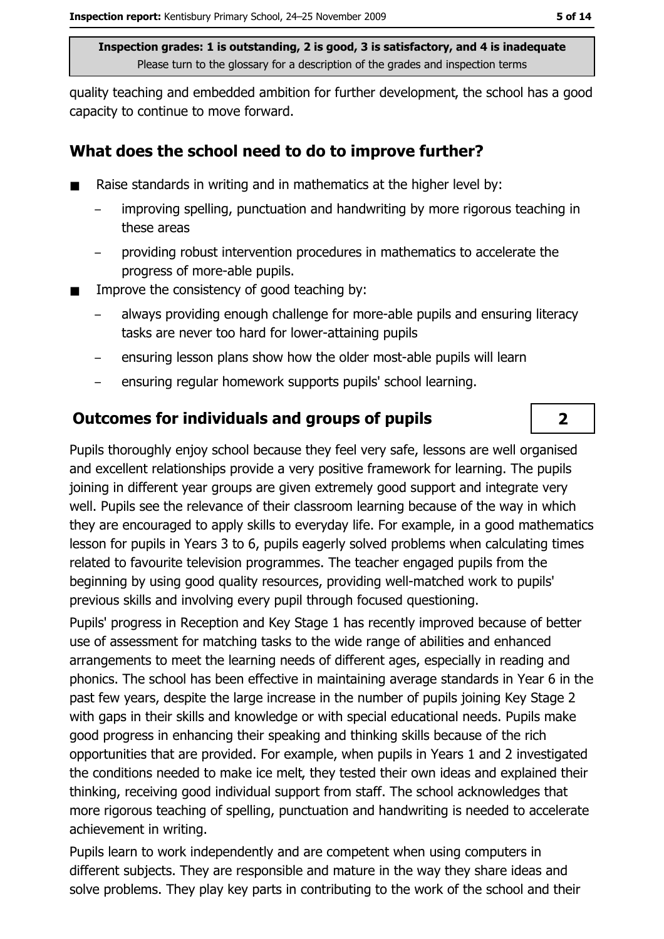quality teaching and embedded ambition for further development, the school has a good capacity to continue to move forward.

#### What does the school need to do to improve further?

- Raise standards in writing and in mathematics at the higher level by:  $\blacksquare$ 
	- improving spelling, punctuation and handwriting by more rigorous teaching in these areas
	- providing robust intervention procedures in mathematics to accelerate the progress of more-able pupils.
- Improve the consistency of good teaching by:
	- always providing enough challenge for more-able pupils and ensuring literacy tasks are never too hard for lower-attaining pupils
	- ensuring lesson plans show how the older most-able pupils will learn  $\equiv$
	- ensuring regular homework supports pupils' school learning.  $\equiv$

#### **Outcomes for individuals and groups of pupils**

Pupils thoroughly enjoy school because they feel very safe, lessons are well organised and excellent relationships provide a very positive framework for learning. The pupils joining in different year groups are given extremely good support and integrate very well. Pupils see the relevance of their classroom learning because of the way in which they are encouraged to apply skills to everyday life. For example, in a good mathematics lesson for pupils in Years 3 to 6, pupils eagerly solved problems when calculating times related to favourite television programmes. The teacher engaged pupils from the beginning by using good quality resources, providing well-matched work to pupils' previous skills and involving every pupil through focused questioning.

Pupils' progress in Reception and Key Stage 1 has recently improved because of better use of assessment for matching tasks to the wide range of abilities and enhanced arrangements to meet the learning needs of different ages, especially in reading and phonics. The school has been effective in maintaining average standards in Year 6 in the past few years, despite the large increase in the number of pupils joining Key Stage 2 with gaps in their skills and knowledge or with special educational needs. Pupils make good progress in enhancing their speaking and thinking skills because of the rich opportunities that are provided. For example, when pupils in Years 1 and 2 investigated the conditions needed to make ice melt, they tested their own ideas and explained their thinking, receiving good individual support from staff. The school acknowledges that more rigorous teaching of spelling, punctuation and handwriting is needed to accelerate achievement in writing.

Pupils learn to work independently and are competent when using computers in different subjects. They are responsible and mature in the way they share ideas and solve problems. They play key parts in contributing to the work of the school and their

 $\overline{2}$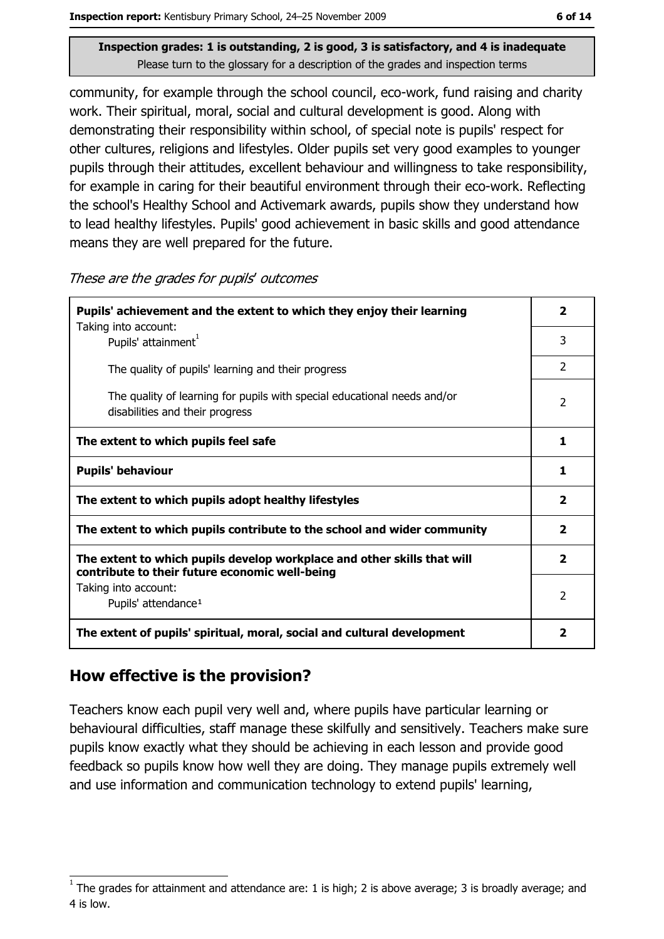community, for example through the school council, eco-work, fund raising and charity work. Their spiritual, moral, social and cultural development is good. Along with demonstrating their responsibility within school, of special note is pupils' respect for other cultures, religions and lifestyles. Older pupils set very good examples to younger pupils through their attitudes, excellent behaviour and willingness to take responsibility, for example in caring for their beautiful environment through their eco-work. Reflecting the school's Healthy School and Activemark awards, pupils show they understand how to lead healthy lifestyles. Pupils' good achievement in basic skills and good attendance means they are well prepared for the future.

| Pupils' achievement and the extent to which they enjoy their learning                                                     |                         |
|---------------------------------------------------------------------------------------------------------------------------|-------------------------|
| Taking into account:<br>Pupils' attainment <sup>1</sup>                                                                   | 3                       |
| The quality of pupils' learning and their progress                                                                        | $\overline{2}$          |
| The quality of learning for pupils with special educational needs and/or<br>disabilities and their progress               | $\overline{2}$          |
| The extent to which pupils feel safe                                                                                      | 1                       |
| <b>Pupils' behaviour</b>                                                                                                  |                         |
| The extent to which pupils adopt healthy lifestyles                                                                       | $\overline{\mathbf{2}}$ |
| The extent to which pupils contribute to the school and wider community                                                   |                         |
| The extent to which pupils develop workplace and other skills that will<br>contribute to their future economic well-being |                         |
| Taking into account:<br>Pupils' attendance <sup>1</sup>                                                                   | 2                       |
| The extent of pupils' spiritual, moral, social and cultural development                                                   |                         |

#### These are the grades for pupils' outcomes

## How effective is the provision?

Teachers know each pupil very well and, where pupils have particular learning or behavioural difficulties, staff manage these skilfully and sensitively. Teachers make sure pupils know exactly what they should be achieving in each lesson and provide good feedback so pupils know how well they are doing. They manage pupils extremely well and use information and communication technology to extend pupils' learning,

The grades for attainment and attendance are: 1 is high; 2 is above average; 3 is broadly average; and 4 is low.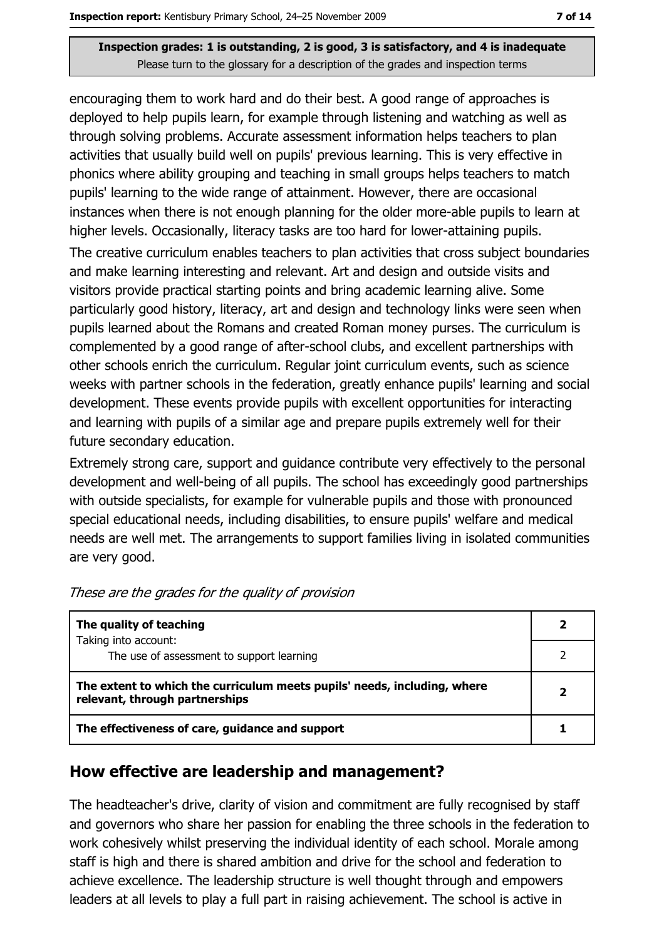encouraging them to work hard and do their best. A good range of approaches is deployed to help pupils learn, for example through listening and watching as well as through solving problems. Accurate assessment information helps teachers to plan activities that usually build well on pupils' previous learning. This is very effective in phonics where ability grouping and teaching in small groups helps teachers to match pupils' learning to the wide range of attainment. However, there are occasional instances when there is not enough planning for the older more-able pupils to learn at higher levels. Occasionally, literacy tasks are too hard for lower-attaining pupils. The creative curriculum enables teachers to plan activities that cross subject boundaries and make learning interesting and relevant. Art and design and outside visits and visitors provide practical starting points and bring academic learning alive. Some particularly good history, literacy, art and design and technology links were seen when pupils learned about the Romans and created Roman money purses. The curriculum is complemented by a good range of after-school clubs, and excellent partnerships with other schools enrich the curriculum. Regular joint curriculum events, such as science weeks with partner schools in the federation, greatly enhance pupils' learning and social development. These events provide pupils with excellent opportunities for interacting and learning with pupils of a similar age and prepare pupils extremely well for their future secondary education.

Extremely strong care, support and quidance contribute very effectively to the personal development and well-being of all pupils. The school has exceedingly good partnerships with outside specialists, for example for vulnerable pupils and those with pronounced special educational needs, including disabilities, to ensure pupils' welfare and medical needs are well met. The arrangements to support families living in isolated communities are very good.

| The quality of teaching                                                                                    |  |
|------------------------------------------------------------------------------------------------------------|--|
| Taking into account:<br>The use of assessment to support learning                                          |  |
| The extent to which the curriculum meets pupils' needs, including, where<br>relevant, through partnerships |  |
| The effectiveness of care, guidance and support                                                            |  |

These are the grades for the quality of provision

#### How effective are leadership and management?

The headteacher's drive, clarity of vision and commitment are fully recognised by staff and governors who share her passion for enabling the three schools in the federation to work cohesively whilst preserving the individual identity of each school. Morale among staff is high and there is shared ambition and drive for the school and federation to achieve excellence. The leadership structure is well thought through and empowers leaders at all levels to play a full part in raising achievement. The school is active in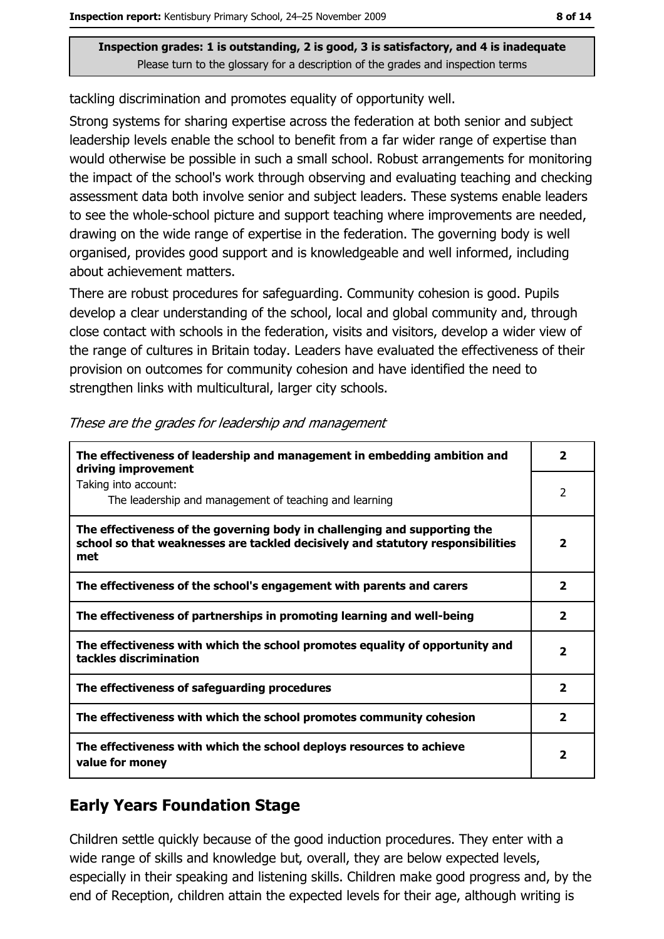tackling discrimination and promotes equality of opportunity well.

Strong systems for sharing expertise across the federation at both senior and subject leadership levels enable the school to benefit from a far wider range of expertise than would otherwise be possible in such a small school. Robust arrangements for monitoring the impact of the school's work through observing and evaluating teaching and checking assessment data both involve senior and subject leaders. These systems enable leaders to see the whole-school picture and support teaching where improvements are needed, drawing on the wide range of expertise in the federation. The governing body is well organised, provides good support and is knowledgeable and well informed, including about achievement matters.

There are robust procedures for safeguarding. Community cohesion is good. Pupils develop a clear understanding of the school, local and global community and, through close contact with schools in the federation, visits and visitors, develop a wider view of the range of cultures in Britain today. Leaders have evaluated the effectiveness of their provision on outcomes for community cohesion and have identified the need to strengthen links with multicultural, larger city schools.

| The effectiveness of leadership and management in embedding ambition and<br>driving improvement                                                                     | $\overline{\phantom{a}}$ |
|---------------------------------------------------------------------------------------------------------------------------------------------------------------------|--------------------------|
| Taking into account:<br>The leadership and management of teaching and learning                                                                                      | 2                        |
| The effectiveness of the governing body in challenging and supporting the<br>school so that weaknesses are tackled decisively and statutory responsibilities<br>met | $\overline{\mathbf{2}}$  |
| The effectiveness of the school's engagement with parents and carers                                                                                                | $\overline{\mathbf{2}}$  |
| The effectiveness of partnerships in promoting learning and well-being                                                                                              | $\overline{2}$           |
| The effectiveness with which the school promotes equality of opportunity and<br>tackles discrimination                                                              | $\overline{\mathbf{2}}$  |
| The effectiveness of safeguarding procedures                                                                                                                        | $\overline{\mathbf{2}}$  |
| The effectiveness with which the school promotes community cohesion                                                                                                 | $\overline{2}$           |
| The effectiveness with which the school deploys resources to achieve<br>value for money                                                                             | $\mathbf{2}$             |

#### These are the grades for leadership and management

#### **Early Years Foundation Stage**

Children settle quickly because of the good induction procedures. They enter with a wide range of skills and knowledge but, overall, they are below expected levels, especially in their speaking and listening skills. Children make good progress and, by the end of Reception, children attain the expected levels for their age, although writing is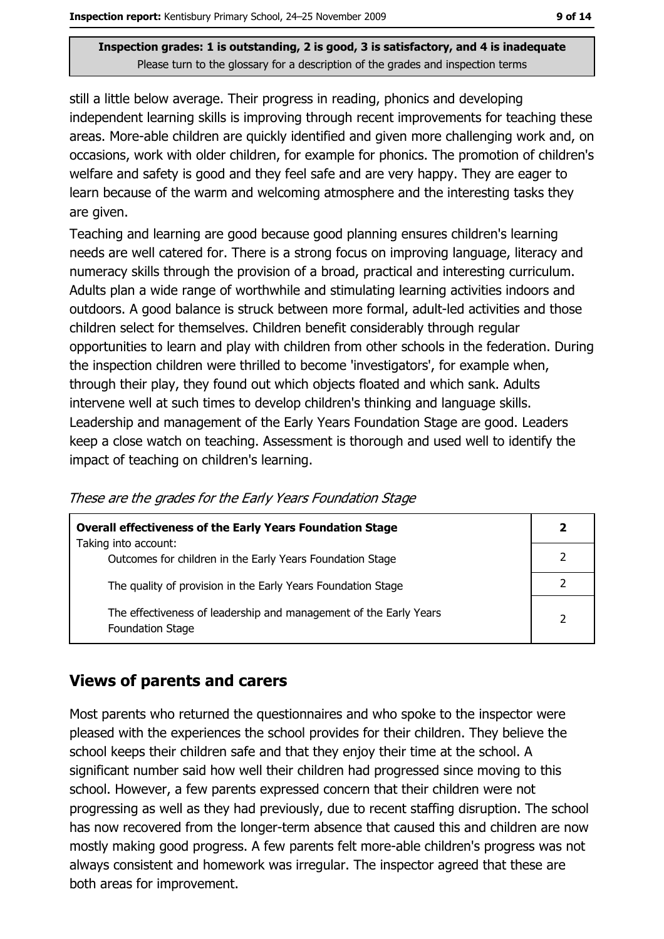still a little below average. Their progress in reading, phonics and developing independent learning skills is improving through recent improvements for teaching these areas. More-able children are quickly identified and given more challenging work and, on occasions, work with older children, for example for phonics. The promotion of children's welfare and safety is good and they feel safe and are very happy. They are eager to learn because of the warm and welcoming atmosphere and the interesting tasks they are given.

Teaching and learning are good because good planning ensures children's learning needs are well catered for. There is a strong focus on improving language, literacy and numeracy skills through the provision of a broad, practical and interesting curriculum. Adults plan a wide range of worthwhile and stimulating learning activities indoors and outdoors. A good balance is struck between more formal, adult-led activities and those children select for themselves. Children benefit considerably through regular opportunities to learn and play with children from other schools in the federation. During the inspection children were thrilled to become 'investigators', for example when, through their play, they found out which objects floated and which sank. Adults intervene well at such times to develop children's thinking and language skills. Leadership and management of the Early Years Foundation Stage are good. Leaders keep a close watch on teaching. Assessment is thorough and used well to identify the impact of teaching on children's learning.

| <b>Overall effectiveness of the Early Years Foundation Stage</b>                             | 2 |
|----------------------------------------------------------------------------------------------|---|
| Taking into account:<br>Outcomes for children in the Early Years Foundation Stage            |   |
| The quality of provision in the Early Years Foundation Stage                                 |   |
| The effectiveness of leadership and management of the Early Years<br><b>Foundation Stage</b> | 2 |

These are the grades for the Early Years Foundation Stage

#### **Views of parents and carers**

Most parents who returned the questionnaires and who spoke to the inspector were pleased with the experiences the school provides for their children. They believe the school keeps their children safe and that they enjoy their time at the school. A significant number said how well their children had progressed since moving to this school. However, a few parents expressed concern that their children were not progressing as well as they had previously, due to recent staffing disruption. The school has now recovered from the longer-term absence that caused this and children are now mostly making good progress. A few parents felt more-able children's progress was not always consistent and homework was irregular. The inspector agreed that these are both areas for improvement.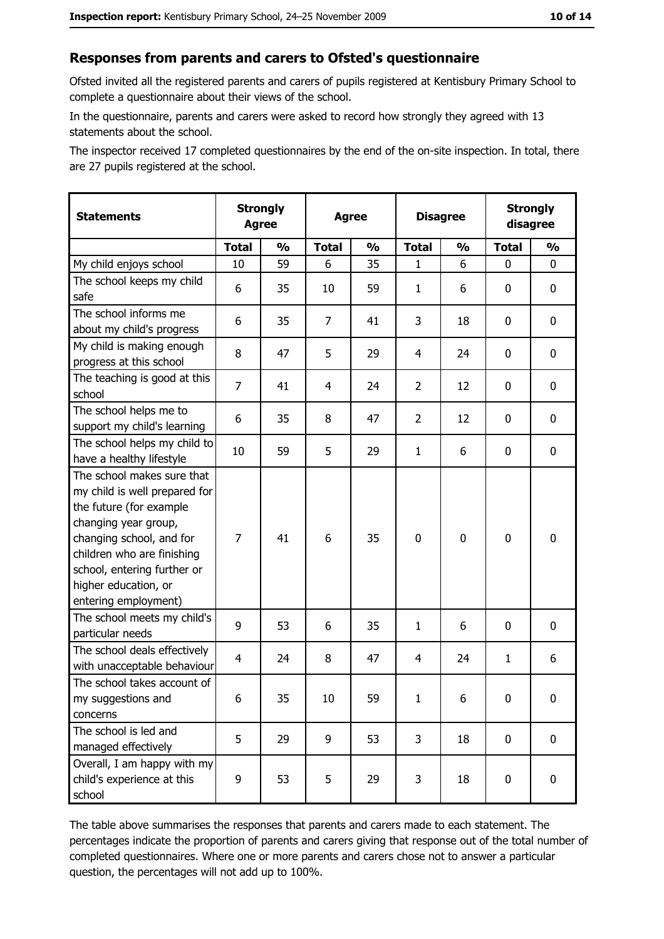#### Responses from parents and carers to Ofsted's questionnaire

Ofsted invited all the registered parents and carers of pupils registered at Kentisbury Primary School to complete a questionnaire about their views of the school.

In the questionnaire, parents and carers were asked to record how strongly they agreed with 13 statements about the school.

The inspector received 17 completed questionnaires by the end of the on-site inspection. In total, there are 27 pupils registered at the school.

| <b>Statements</b>                                                                                                                                                                                                                                       | <b>Strongly</b><br><b>Agree</b> |               | <b>Agree</b> |               | <b>Disagree</b> |               | <b>Strongly</b><br>disagree |               |
|---------------------------------------------------------------------------------------------------------------------------------------------------------------------------------------------------------------------------------------------------------|---------------------------------|---------------|--------------|---------------|-----------------|---------------|-----------------------------|---------------|
|                                                                                                                                                                                                                                                         | <b>Total</b>                    | $\frac{1}{2}$ | <b>Total</b> | $\frac{0}{0}$ | <b>Total</b>    | $\frac{0}{0}$ | <b>Total</b>                | $\frac{1}{2}$ |
| My child enjoys school                                                                                                                                                                                                                                  | 10                              | 59            | 6            | 35            | 1               | 6             | 0                           | 0             |
| The school keeps my child<br>safe                                                                                                                                                                                                                       | 6                               | 35            | 10           | 59            | $\mathbf{1}$    | 6             | 0                           | 0             |
| The school informs me<br>about my child's progress                                                                                                                                                                                                      | 6                               | 35            | 7            | 41            | 3               | 18            | $\mathbf{0}$                | 0             |
| My child is making enough<br>progress at this school                                                                                                                                                                                                    | 8                               | 47            | 5            | 29            | $\overline{4}$  | 24            | 0                           | 0             |
| The teaching is good at this<br>school                                                                                                                                                                                                                  | $\overline{7}$                  | 41            | 4            | 24            | $\overline{2}$  | 12            | 0                           | 0             |
| The school helps me to<br>support my child's learning                                                                                                                                                                                                   | 6                               | 35            | 8            | 47            | $\overline{2}$  | 12            | 0                           | 0             |
| The school helps my child to<br>have a healthy lifestyle                                                                                                                                                                                                | 10                              | 59            | 5            | 29            | $\mathbf{1}$    | 6             | 0                           | 0             |
| The school makes sure that<br>my child is well prepared for<br>the future (for example<br>changing year group,<br>changing school, and for<br>children who are finishing<br>school, entering further or<br>higher education, or<br>entering employment) | $\overline{7}$                  | 41            | 6            | 35            | $\mathbf 0$     | 0             | $\mathbf 0$                 | 0             |
| The school meets my child's<br>particular needs                                                                                                                                                                                                         | 9                               | 53            | 6            | 35            | 1               | 6             | 0                           | 0             |
| The school deals effectively<br>with unacceptable behaviour                                                                                                                                                                                             | $\overline{4}$                  | 24            | 8            | 47            | 4               | 24            | 1                           | 6             |
| The school takes account of<br>my suggestions and<br>concerns                                                                                                                                                                                           | 6                               | 35            | 10           | 59            | $\mathbf{1}$    | 6             | 0                           | 0             |
| The school is led and<br>managed effectively                                                                                                                                                                                                            | 5                               | 29            | 9            | 53            | 3               | 18            | 0                           | $\mathbf 0$   |
| Overall, I am happy with my<br>child's experience at this<br>school                                                                                                                                                                                     | 9                               | 53            | 5            | 29            | 3               | 18            | $\mathbf 0$                 | 0             |

The table above summarises the responses that parents and carers made to each statement. The percentages indicate the proportion of parents and carers giving that response out of the total number of completed questionnaires. Where one or more parents and carers chose not to answer a particular question, the percentages will not add up to 100%.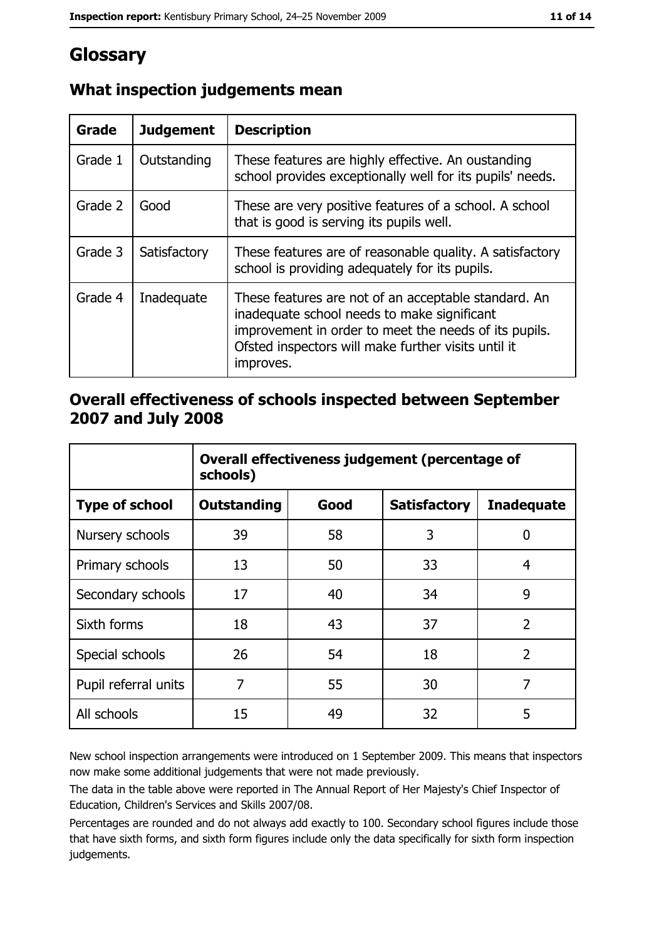# Glossary

| Grade   | <b>Judgement</b> | <b>Description</b>                                                                                                                                                                                                               |
|---------|------------------|----------------------------------------------------------------------------------------------------------------------------------------------------------------------------------------------------------------------------------|
| Grade 1 | Outstanding      | These features are highly effective. An oustanding<br>school provides exceptionally well for its pupils' needs.                                                                                                                  |
| Grade 2 | Good             | These are very positive features of a school. A school<br>that is good is serving its pupils well.                                                                                                                               |
| Grade 3 | Satisfactory     | These features are of reasonable quality. A satisfactory<br>school is providing adequately for its pupils.                                                                                                                       |
| Grade 4 | Inadequate       | These features are not of an acceptable standard. An<br>inadequate school needs to make significant<br>improvement in order to meet the needs of its pupils.<br>Ofsted inspectors will make further visits until it<br>improves. |

## What inspection judgements mean

## Overall effectiveness of schools inspected between September 2007 and July 2008

|                       | Overall effectiveness judgement (percentage of<br>schools) |      |                     |                   |
|-----------------------|------------------------------------------------------------|------|---------------------|-------------------|
| <b>Type of school</b> | <b>Outstanding</b>                                         | Good | <b>Satisfactory</b> | <b>Inadequate</b> |
| Nursery schools       | 39                                                         | 58   | 3                   | 0                 |
| Primary schools       | 13                                                         | 50   | 33                  | 4                 |
| Secondary schools     | 17                                                         | 40   | 34                  | 9                 |
| Sixth forms           | 18                                                         | 43   | 37                  | $\overline{2}$    |
| Special schools       | 26                                                         | 54   | 18                  | $\overline{2}$    |
| Pupil referral units  | 7                                                          | 55   | 30                  | 7                 |
| All schools           | 15                                                         | 49   | 32                  | 5                 |

New school inspection arrangements were introduced on 1 September 2009. This means that inspectors now make some additional judgements that were not made previously.

The data in the table above were reported in The Annual Report of Her Majesty's Chief Inspector of Education, Children's Services and Skills 2007/08.

Percentages are rounded and do not always add exactly to 100. Secondary school figures include those that have sixth forms, and sixth form figures include only the data specifically for sixth form inspection judgements.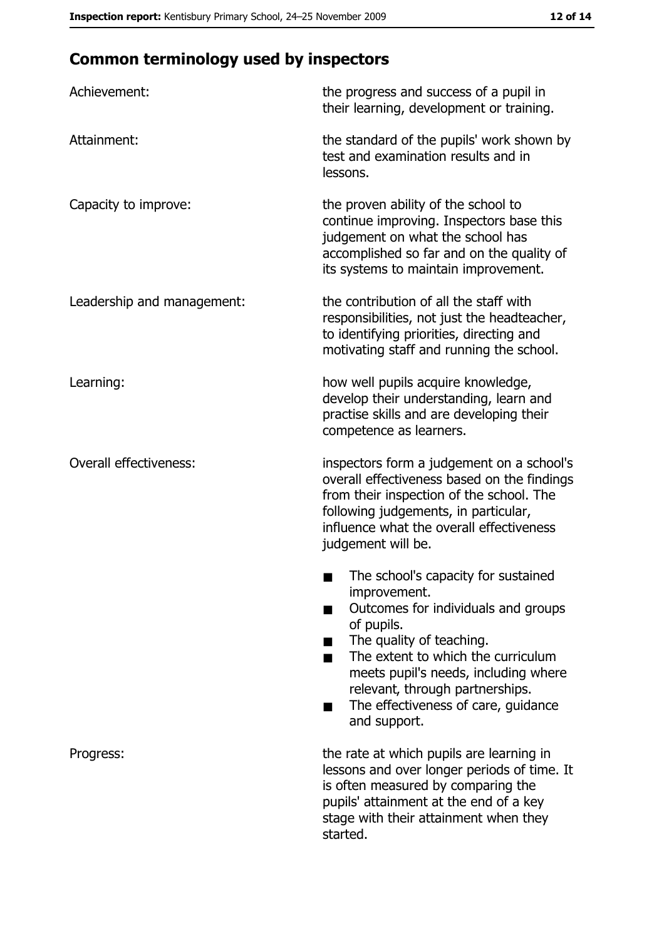# **Common terminology used by inspectors**

| Achievement:                  | the progress and success of a pupil in<br>their learning, development or training.                                                                                                                                                                                                                           |
|-------------------------------|--------------------------------------------------------------------------------------------------------------------------------------------------------------------------------------------------------------------------------------------------------------------------------------------------------------|
| Attainment:                   | the standard of the pupils' work shown by<br>test and examination results and in<br>lessons.                                                                                                                                                                                                                 |
| Capacity to improve:          | the proven ability of the school to<br>continue improving. Inspectors base this<br>judgement on what the school has<br>accomplished so far and on the quality of<br>its systems to maintain improvement.                                                                                                     |
| Leadership and management:    | the contribution of all the staff with<br>responsibilities, not just the headteacher,<br>to identifying priorities, directing and<br>motivating staff and running the school.                                                                                                                                |
| Learning:                     | how well pupils acquire knowledge,<br>develop their understanding, learn and<br>practise skills and are developing their<br>competence as learners.                                                                                                                                                          |
| <b>Overall effectiveness:</b> | inspectors form a judgement on a school's<br>overall effectiveness based on the findings<br>from their inspection of the school. The<br>following judgements, in particular,<br>influence what the overall effectiveness<br>judgement will be.                                                               |
|                               | The school's capacity for sustained<br>improvement.<br>Outcomes for individuals and groups<br>of pupils.<br>The quality of teaching.<br>The extent to which the curriculum<br>meets pupil's needs, including where<br>relevant, through partnerships.<br>The effectiveness of care, guidance<br>and support. |
| Progress:                     | the rate at which pupils are learning in<br>lessons and over longer periods of time. It<br>is often measured by comparing the<br>pupils' attainment at the end of a key<br>stage with their attainment when they<br>started.                                                                                 |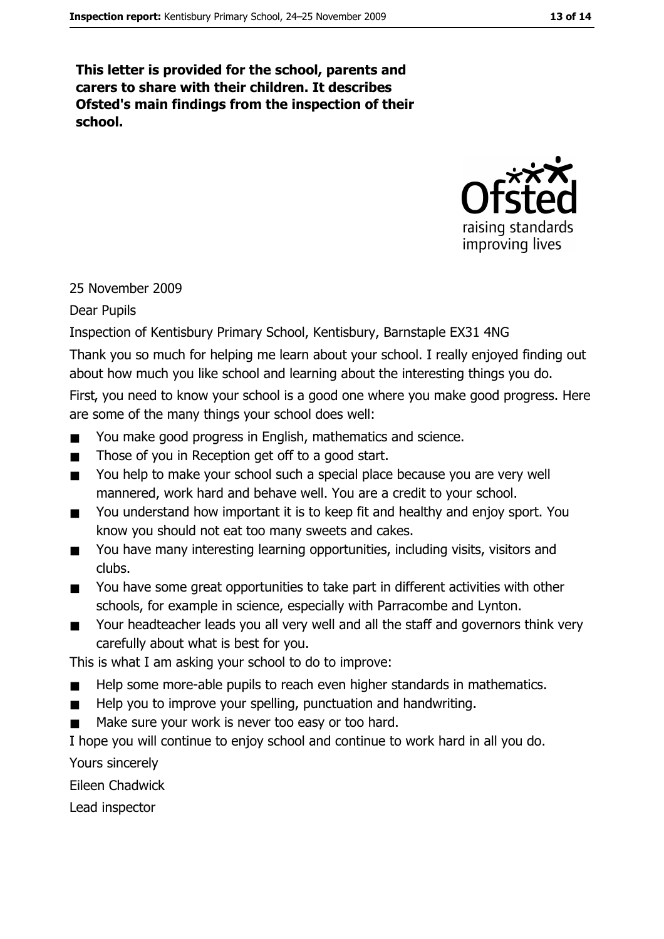This letter is provided for the school, parents and carers to share with their children. It describes Ofsted's main findings from the inspection of their school.



## 25 November 2009

#### **Dear Pupils**

Inspection of Kentisbury Primary School, Kentisbury, Barnstaple EX31 4NG

Thank you so much for helping me learn about your school. I really enjoyed finding out about how much you like school and learning about the interesting things you do.

First, you need to know your school is a good one where you make good progress. Here are some of the many things your school does well:

- You make good progress in English, mathematics and science.  $\blacksquare$
- Those of you in Reception get off to a good start.  $\blacksquare$
- You help to make your school such a special place because you are very well  $\blacksquare$ mannered, work hard and behave well. You are a credit to your school.
- You understand how important it is to keep fit and healthy and enjoy sport. You  $\blacksquare$ know you should not eat too many sweets and cakes.
- You have many interesting learning opportunities, including visits, visitors and  $\blacksquare$ clubs.
- You have some great opportunities to take part in different activities with other  $\blacksquare$ schools, for example in science, especially with Parracombe and Lynton.
- Your headteacher leads you all very well and all the staff and governors think very  $\blacksquare$ carefully about what is best for you.

This is what I am asking your school to do to improve:

- Help some more-able pupils to reach even higher standards in mathematics.  $\blacksquare$
- Help you to improve your spelling, punctuation and handwriting.  $\blacksquare$
- Make sure your work is never too easy or too hard.  $\blacksquare$

I hope you will continue to enjoy school and continue to work hard in all you do.

Yours sincerely

Eileen Chadwick

Lead inspector